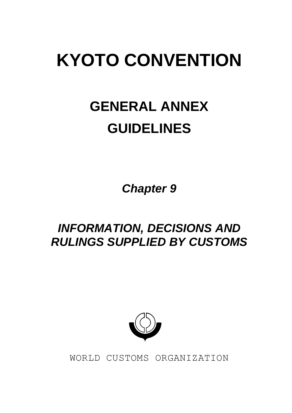# **KYOTO CONVENTION**

# **GENERAL ANNEX GUIDELINES**

*Chapter 9*

# *INFORMATION, DECISIONS AND RULINGS SUPPLIED BY CUSTOMS*



WORLD CUSTOMS ORGANIZATION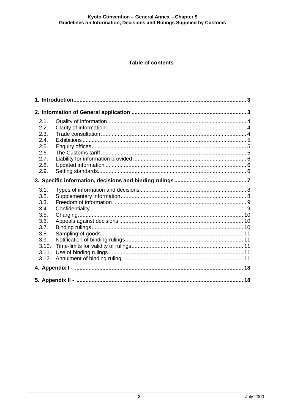# **Table of contents**

| 2.1.  |  |  |
|-------|--|--|
| 2.2.  |  |  |
| 2.3.  |  |  |
| 2.4.  |  |  |
| 2.5.  |  |  |
| 2.6.  |  |  |
| 2.7.  |  |  |
| 2.8.  |  |  |
| 2.9.  |  |  |
|       |  |  |
| 3.1.  |  |  |
| 3.2.  |  |  |
| 3.3.  |  |  |
| 3.4.  |  |  |
| 3.5.  |  |  |
| 3.6.  |  |  |
| 3.7.  |  |  |
| 3.8.  |  |  |
| 3.9.  |  |  |
| 3.10. |  |  |
| 3.11. |  |  |
| 3.12. |  |  |
|       |  |  |
|       |  |  |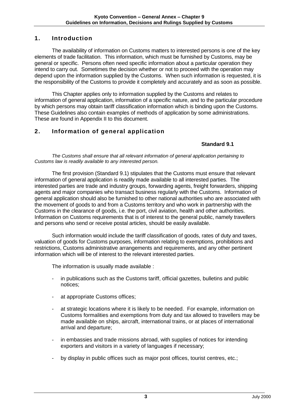# **1. Introduction**

The availability of information on Customs matters to interested persons is one of the key elements of trade facilitation. This information, which must be furnished by Customs, may be general or specific. Persons often need specific information about a particular operation they intend to carry out. Sometimes the decision whether or not to proceed with the operation may depend upon the information supplied by the Customs. When such information is requested, it is the responsibility of the Customs to provide it completely and accurately and as soon as possible.

This Chapter applies only to information supplied by the Customs and relates to information of general application, information of a specific nature, and to the particular procedure by which persons may obtain tariff classification information which is binding upon the Customs. These Guidelines also contain examples of methods of application by some administrations. These are found in Appendix II to this document.

# **2. Information of general application**

# **Standard 9.1**

*The Customs shall ensure that all relevant information of general application pertaining to Customs law is readily available to any interested person.*

The first provision (Standard 9.1) stipulates that the Customs must ensure that relevant information of general application is readily made available to all interested parties. The interested parties are trade and industry groups, forwarding agents, freight forwarders, shipping agents and major companies who transact business regularly with the Customs. Information of general application should also be furnished to other national authorities who are associated with the movement of goods to and from a Customs territory and who work in partnership with the Customs in the clearance of goods, i.e. the port, civil aviation, health and other authorities. Information on Customs requirements that is of interest to the general public, namely travellers and persons who send or receive postal articles, should be easily available.

Such information would include the tariff classification of goods, rates of duty and taxes, valuation of goods for Customs purposes, information relating to exemptions, prohibitions and restrictions, Customs administrative arrangements and requirements, and any other pertinent information which will be of interest to the relevant interested parties.

The information is usually made available :

- in publications such as the Customs tariff, official gazettes, bulletins and public notices;
- at appropriate Customs offices;
- at strategic locations where it is likely to be needed. For example, information on Customs formalities and exemptions from duty and tax allowed to travellers may be made available on ships, aircraft, international trains, or at places of international arrival and departure;
- in embassies and trade missions abroad, with supplies of notices for intending exporters and visitors in a variety of languages if necessary;
- by display in public offices such as major post offices, tourist centres, etc.;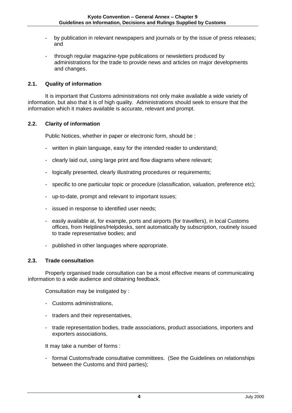- by publication in relevant newspapers and journals or by the issue of press releases; and
- through regular magazine-type publications or newsletters produced by administrations for the trade to provide news and articles on major developments and changes.

# **2.1. Quality of information**

It is important that Customs administrations not only make available a wide variety of information, but also that it is of high quality. Administrations should seek to ensure that the information which it makes available is accurate, relevant and prompt.

# **2.2. Clarity of information**

Public Notices, whether in paper or electronic form, should be :

- written in plain language, easy for the intended reader to understand;
- clearly laid out, using large print and flow diagrams where relevant;
- logically presented, clearly illustrating procedures or requirements;
- specific to one particular topic or procedure (classification, valuation, preference etc);
- up-to-date, prompt and relevant to important issues;
- issued in response to identified user needs;
- easily available at, for example, ports and airports (for travellers), in local Customs offices, from Helplines/Helpdesks, sent automatically by subscription, routinely issued to trade representative bodies; and
- published in other languages where appropriate.

#### **2.3. Trade consultation**

Properly organised trade consultation can be a most effective means of communicating information to a wide audience and obtaining feedback.

Consultation may be instigated by :

- Customs administrations,
- traders and their representatives,
- trade representation bodies, trade associations, product associations, importers and exporters associations.

It may take a number of forms :

- formal Customs/trade consultative committees. (See the Guidelines on relationships between the Customs and third parties);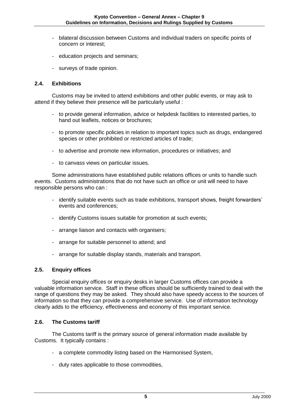- bilateral discussion between Customs and individual traders on specific points of concern or interest;
- education projects and seminars;
- surveys of trade opinion.

# **2.4. Exhibitions**

Customs may be invited to attend exhibitions and other public events, or may ask to attend if they believe their presence will be particularly useful :

- to provide general information, advice or helpdesk facilities to interested parties, to hand out leaflets, notices or brochures;
- to promote specific policies in relation to important topics such as drugs, endangered species or other prohibited or restricted articles of trade;
- to advertise and promote new information, procedures or initiatives; and
- to canvass views on particular issues.

Some administrations have established public relations offices or units to handle such events. Customs administrations that do not have such an office or unit will need to have responsible persons who can :

- identify suitable events such as trade exhibitions, transport shows, freight forwarders' events and conferences;
- identify Customs issues suitable for promotion at such events;
- arrange liaison and contacts with organisers;
- arrange for suitable personnel to attend; and
- arrange for suitable display stands, materials and transport.

# **2.5. Enquiry offices**

Special enquiry offices or enquiry desks in larger Customs offices can provide a valuable information service. Staff in these offices should be sufficiently trained to deal with the range of questions they may be asked. They should also have speedy access to the sources of information so that they can provide a comprehensive service. Use of information technology clearly adds to the efficiency, effectiveness and economy of this important service.

#### **2.6. The Customs tariff**

The Customs tariff is the primary source of general information made available by Customs. It typically contains :

- a complete commodity listing based on the Harmonised System,
- duty rates applicable to those commodities,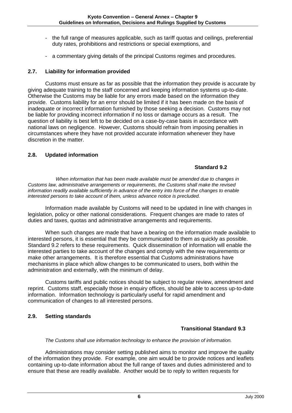- the full range of measures applicable, such as tariff quotas and ceilings, preferential duty rates, prohibitions and restrictions or special exemptions, and
- a commentary giving details of the principal Customs regimes and procedures.

# **2.7. Liability for information provided**

Customs must ensure as far as possible that the information they provide is accurate by giving adequate training to the staff concerned and keeping information systems up-to-date. Otherwise the Customs may be liable for any errors made based on the information they provide. Customs liability for an error should be limited if it has been made on the basis of inadequate or incorrect information furnished by those seeking a decision. Customs may not be liable for providing incorrect information if no loss or damage occurs as a result. The question of liability is best left to be decided on a case-by-case basis in accordance with national laws on negligence. However, Customs should refrain from imposing penalties in circumstances where they have not provided accurate information whenever they have discretion in the matter.

# **2.8. Updated information**

# **Standard 9.2**

*When information that has been made available must be amended due to changes in Customs law, administrative arrangements or requirements, the Customs shall make the revised information readily available sufficiently in advance of the entry into force of the changes to enable interested persons to take account of them, unless advance notice is precluded.*

Information made available by Customs will need to be updated in line with changes in legislation, policy or other national considerations. Frequent changes are made to rates of duties and taxes, quotas and administrative arrangements and requirements.

When such changes are made that have a bearing on the information made available to interested persons, it is essential that they be communicated to them as quickly as possible. Standard 9.2 refers to these requirements. Quick dissemination of information will enable the interested parties to take account of the changes and comply with the new requirements or make other arrangements. It is therefore essential that Customs administrations have mechanisms in place which allow changes to be communicated to users, both within the administration and externally, with the minimum of delay.

Customs tariffs and public notices should be subject to regular review, amendment and reprint. Customs staff, especially those in enquiry offices, should be able to access up-to-date information. Information technology is particularly useful for rapid amendment and communication of changes to all interested persons.

# **2.9. Setting standards**

# **Transitional Standard 9.3**

#### *The Customs shall use information technology to enhance the provision of information.*

Administrations may consider setting published aims to monitor and improve the quality of the information they provide. For example, one aim would be to provide notices and leaflets containing up-to-date information about the full range of taxes and duties administered and to ensure that these are readily available. Another would be to reply to written requests for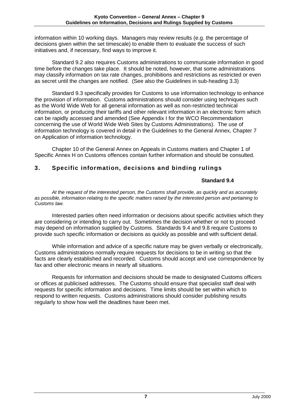information within 10 working days. Managers may review results (e.g. the percentage of decisions given within the set timescale) to enable them to evaluate the success of such initiatives and, if necessary, find ways to improve it.

Standard 9.2 also requires Customs administrations to communicate information in good time before the changes take place. It should be noted, however, that some administrations may classify information on tax rate changes, prohibitions and restrictions as restricted or even as secret until the changes are notified. (See also the Guidelines in sub-heading 3.3)

Standard 9.3 specifically provides for Customs to use information technology to enhance the provision of information. Customs administrations should consider using techniques such as the World Wide Web for all general information as well as non-restricted technical information, or producing their tariffs and other relevant information in an electronic form which can be rapidly accessed and amended (See Appendix I for the WCO Recommendation concerning the use of World Wide Web Sites by Customs Administrations). The use of information technology is covered in detail in the Guidelines to the General Annex, Chapter 7 on Application of information technology.

Chapter 10 of the General Annex on Appeals in Customs matters and Chapter 1 of Specific Annex H on Customs offences contain further information and should be consulted.

# **3. Specific information, decisions and binding rulings**

# **Standard 9.4**

*At the request of the interested person, the Customs shall provide, as quickly and as accurately as possible, information relating to the specific matters raised by the interested person and pertaining to Customs law.*

Interested parties often need information or decisions about specific activities which they are considering or intending to carry out. Sometimes the decision whether or not to proceed may depend on information supplied by Customs. Standards 9.4 and 9.8 require Customs to provide such specific information or decisions as quickly as possible and with sufficient detail.

While information and advice of a specific nature may be given verbally or electronically, Customs administrations normally require requests for decisions to be in writing so that the facts are clearly established and recorded. Customs should accept and use correspondence by fax and other electronic means in nearly all situations.

Requests for information and decisions should be made to designated Customs officers or offices at publicised addresses. The Customs should ensure that specialist staff deal with requests for specific information and decisions. Time limits should be set within which to respond to written requests. Customs administrations should consider publishing results regularly to show how well the deadlines have been met.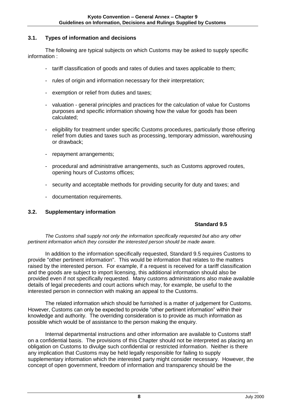# **3.1. Types of information and decisions**

The following are typical subjects on which Customs may be asked to supply specific information :

- tariff classification of goods and rates of duties and taxes applicable to them;
- rules of origin and information necessary for their interpretation;
- exemption or relief from duties and taxes;
- valuation general principles and practices for the calculation of value for Customs purposes and specific information showing how the value for goods has been calculated;
- eligibility for treatment under specific Customs procedures, particularly those offering relief from duties and taxes such as processing, temporary admission, warehousing or drawback;
- repayment arrangements;
- procedural and administrative arrangements, such as Customs approved routes, opening hours of Customs offices;
- security and acceptable methods for providing security for duty and taxes; and
- documentation requirements.

# **3.2. Supplementary information**

# **Standard 9.5**

*The Customs shall supply not only the information specifically requested but also any other pertinent information which they consider the interested person should be made aware.*

In addition to the information specifically requested, Standard 9.5 requires Customs to provide "other pertinent information". This would be information that relates to the matters raised by the interested person. For example, if a request is received for a tariff classification and the goods are subject to import licensing, this additional information should also be provided even if not specifically requested. Many customs administrations also make available details of legal precedents and court actions which may, for example, be useful to the interested person in connection with making an appeal to the Customs.

The related information which should be furnished is a matter of judgement for Customs. However, Customs can only be expected to provide "other pertinent information" within their knowledge and authority. The overriding consideration is to provide as much information as possible which would be of assistance to the person making the enquiry.

Internal departmental instructions and other information are available to Customs staff on a confidential basis. The provisions of this Chapter should not be interpreted as placing an obligation on Customs to divulge such confidential or restricted information. Neither is there any implication that Customs may be held legally responsible for failing to supply supplementary information which the interested party might consider necessary. However, the concept of open government, freedom of information and transparency should be the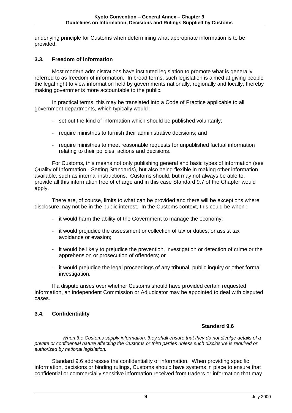underlying principle for Customs when determining what appropriate information is to be provided.

# **3.3. Freedom of information**

Most modern administrations have instituted legislation to promote what is generally referred to as freedom of information. In broad terms, such legislation is aimed at giving people the legal right to view information held by governments nationally, regionally and locally, thereby making governments more accountable to the public.

In practical terms, this may be translated into a Code of Practice applicable to all government departments, which typically would :

- set out the kind of information which should be published voluntarily;
- require ministries to furnish their administrative decisions; and
- require ministries to meet reasonable requests for unpublished factual information relating to their policies, actions and decisions.

For Customs, this means not only publishing general and basic types of information (see Quality of Information - Setting Standards), but also being flexible in making other information available, such as internal instructions. Customs should, but may not always be able to, provide all this information free of charge and in this case Standard 9.7 of the Chapter would apply.

There are, of course, limits to what can be provided and there will be exceptions where disclosure may not be in the public interest. In the Customs context, this could be when :

- it would harm the ability of the Government to manage the economy;
- it would prejudice the assessment or collection of tax or duties, or assist tax avoidance or evasion;
- it would be likely to prejudice the prevention, investigation or detection of crime or the apprehension or prosecution of offenders; or
- it would prejudice the legal proceedings of any tribunal, public inquiry or other formal investigation.

If a dispute arises over whether Customs should have provided certain requested information, an independent Commission or Adjudicator may be appointed to deal with disputed cases.

# **3.4. Confidentiality**

# **Standard 9.6**

*When the Customs supply information, they shall ensure that they do not divulge details of a private or confidential nature affecting the Customs or third parties unless such disclosure is required or authorized by national legislation.*

Standard 9.6 addresses the confidentiality of information. When providing specific information, decisions or binding rulings, Customs should have systems in place to ensure that confidential or commercially sensitive information received from traders or information that may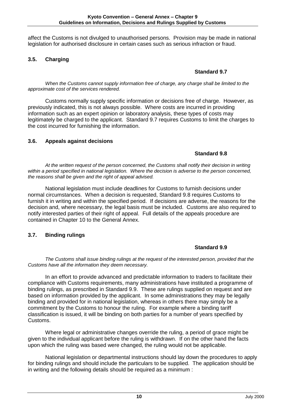affect the Customs is not divulged to unauthorised persons. Provision may be made in national legislation for authorised disclosure in certain cases such as serious infraction or fraud.

# **3.5. Charging**

# **Standard 9.7**

*When the Customs cannot supply information free of charge, any charge shall be limited to the approximate cost of the services rendered.*

Customs normally supply specific information or decisions free of charge. However, as previously indicated, this is not always possible. Where costs are incurred in providing information such as an expert opinion or laboratory analysis, these types of costs may legitimately be charged to the applicant. Standard 9.7 requires Customs to limit the charges to the cost incurred for furnishing the information.

# **3.6. Appeals against decisions**

# **Standard 9.8**

*At the written request of the person concerned, the Customs shall notify their decision in writing*  within a period specified in national legislation. Where the decision is adverse to the person concerned, *the reasons shall be given and the right of appeal advised.*

National legislation must include deadlines for Customs to furnish decisions under normal circumstances. When a decision is requested, Standard 9.8 requires Customs to furnish it in writing and within the specified period. If decisions are adverse, the reasons for the decision and, where necessary, the legal basis must be included. Customs are also required to notify interested parties of their right of appeal. Full details of the appeals procedure are contained in Chapter 10 to the General Annex.

# **3.7. Binding rulings**

# **Standard 9.9**

*The Customs shall issue binding rulings at the request of the interested person, provided that the Customs have all the information they deem necessary.*

In an effort to provide advanced and predictable information to traders to facilitate their compliance with Customs requirements, many administrations have instituted a programme of binding rulings, as prescribed in Standard 9.9. These are rulings supplied on request and are based on information provided by the applicant. In some administrations they may be legally binding and provided for in national legislation, whereas in others there may simply be a commitment by the Customs to honour the ruling. For example where a binding tariff classification is issued, it will be binding on both parties for a number of years specified by Customs.

Where legal or administrative changes override the ruling, a period of grace might be given to the individual applicant before the ruling is withdrawn. If on the other hand the facts upon which the ruling was based were changed, the ruling would not be applicable.

National legislation or departmental instructions should lay down the procedures to apply for binding rulings and should include the particulars to be supplied. The application should be in writing and the following details should be required as a minimum :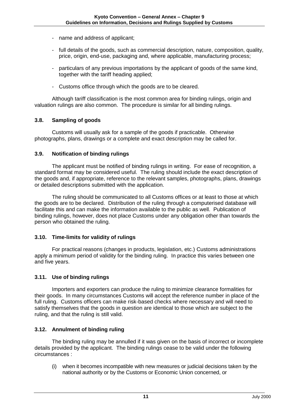- name and address of applicant;
- full details of the goods, such as commercial description, nature, composition, quality, price, origin, end-use, packaging and, where applicable, manufacturing process;
- particulars of any previous importations by the applicant of goods of the same kind, together with the tariff heading applied;
- Customs office through which the goods are to be cleared.

Although tariff classification is the most common area for binding rulings, origin and valuation rulings are also common. The procedure is similar for all binding rulings.

# **3.8. Sampling of goods**

Customs will usually ask for a sample of the goods if practicable. Otherwise photographs, plans, drawings or a complete and exact description may be called for.

# **3.9. Notification of binding rulings**

The applicant must be notified of binding rulings in writing. For ease of recognition, a standard format may be considered useful. The ruling should include the exact description of the goods and, if appropriate, reference to the relevant samples, photographs, plans, drawings or detailed descriptions submitted with the application.

The ruling should be communicated to all Customs offices or at least to those at which the goods are to be declared. Distribution of the ruling through a computerised database will facilitate this and can make the information available to the public as well. Publication of binding rulings, however, does not place Customs under any obligation other than towards the person who obtained the ruling.

# **3.10. Time-limits for validity of rulings**

For practical reasons (changes in products, legislation, etc.) Customs administrations apply a minimum period of validity for the binding ruling. In practice this varies between one and five years.

# **3.11. Use of binding rulings**

Importers and exporters can produce the ruling to minimize clearance formalities for their goods. In many circumstances Customs will accept the reference number in place of the full ruling. Customs officers can make risk-based checks where necessary and will need to satisfy themselves that the goods in question are identical to those which are subject to the ruling, and that the ruling is still valid.

# **3.12. Annulment of binding ruling**

The binding ruling may be annulled if it was given on the basis of incorrect or incomplete details provided by the applicant. The binding rulings cease to be valid under the following circumstances :

(i) when it becomes incompatible with new measures or judicial decisions taken by the national authority or by the Customs or Economic Union concerned, or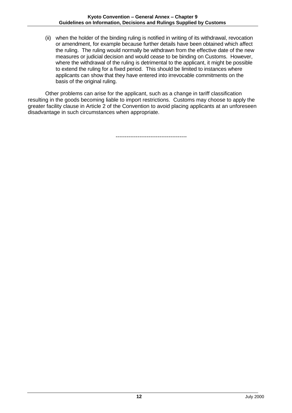(ii) when the holder of the binding ruling is notified in writing of its withdrawal, revocation or amendment, for example because further details have been obtained which affect the ruling. The ruling would normally be withdrawn from the effective date of the new measures or judicial decision and would cease to be binding on Customs. However, where the withdrawal of the ruling is detrimental to the applicant, it might be possible to extend the ruling for a fixed period. This should be limited to instances where applicants can show that they have entered into irrevocable commitments on the basis of the original ruling.

Other problems can arise for the applicant, such as a change in tariff classification resulting in the goods becoming liable to import restrictions. Customs may choose to apply the greater facility clause in Article 2 of the Convention to avoid placing applicants at an unforeseen disadvantage in such circumstances when appropriate.

---------------------------------------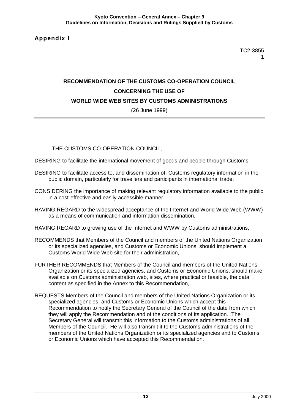**Appendix I**

TC2-3855 1

# **RECOMMENDATION OF THE CUSTOMS CO-OPERATION COUNCIL CONCERNING THE USE OF WORLD WIDE WEB SITES BY CUSTOMS ADMINISTRATIONS**

(26 June 1999)

THE CUSTOMS CO-OPERATION COUNCIL,

- DESIRING to facilitate the international movement of goods and people through Customs,
- DESIRING to facilitate access to, and dissemination of, Customs regulatory information in the public domain, particularly for travellers and participants in international trade,
- CONSIDERING the importance of making relevant regulatory information available to the public in a cost-effective and easily accessible manner,
- HAVING REGARD to the widespread acceptance of the Internet and World Wide Web (WWW) as a means of communication and information dissemination,
- HAVING REGARD to growing use of the Internet and WWW by Customs administrations,
- RECOMMENDS that Members of the Council and members of the United Nations Organization or its specialized agencies, and Customs or Economic Unions, should implement a Customs World Wide Web site for their administration,
- FURTHER RECOMMENDS that Members of the Council and members of the United Nations Organization or its specialized agencies, and Customs or Economic Unions, should make available on Customs administration web, sites, where practical or feasible, the data content as specified in the Annex to this Recommendation,
- REQUESTS Members of the Council and members of the United Nations Organization or its specialized agencies, and Customs or Economic Unions which accept this Recommendation to notify the Secretary General of the Council of the date from which they will apply the Recommendation and of the conditions of its application. The Secretary General will transmit this information to the Customs administrations of all Members of the Council. He will also transmit it to the Customs administrations of the members of the United Nations Organization or its specialized agencies and to Customs or Economic Unions which have accepted this Recommendation.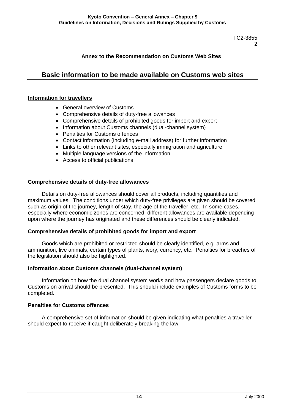# **Annex to the Recommendation on Customs Web Sites**

# **Basic information to be made available on Customs web sites**

#### **Information for travellers**

- General overview of Customs
- Comprehensive details of duty-free allowances
- Comprehensive details of prohibited goods for import and export
- Information about Customs channels (dual-channel system)
- Penalties for Customs offences
- Contact information (including e-mail address) for further information
- Links to other relevant sites, especially immigration and agriculture
- Multiple language versions of the information.
- Access to official publications

#### **Comprehensive details of duty-free allowances**

Details on duty-free allowances should cover all products, including quantities and maximum values. The conditions under which duty-free privileges are given should be covered such as origin of the journey, length of stay, the age of the traveller, etc. In some cases, especially where economic zones are concerned, different allowances are available depending upon where the journey has originated and these differences should be clearly indicated.

#### **Comprehensive details of prohibited goods for import and export**

Goods which are prohibited or restricted should be clearly identified, e.g. arms and ammunition, live animals, certain types of plants, ivory, currency, etc. Penalties for breaches of the legislation should also be highlighted.

#### **Information about Customs channels (dual-channel system)**

Information on how the dual channel system works and how passengers declare goods to Customs on arrival should be presented. This should include examples of Customs forms to be completed.

#### **Penalties for Customs offences**

A comprehensive set of information should be given indicating what penalties a traveller should expect to receive if caught deliberately breaking the law.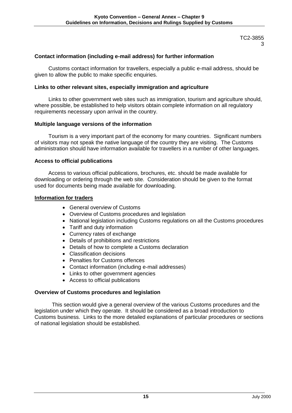# **Contact information (including e-mail address) for further information**

Customs contact information for travellers, especially a public e-mail address, should be given to allow the public to make specific enquiries.

#### **Links to other relevant sites, especially immigration and agriculture**

Links to other government web sites such as immigration, tourism and agriculture should, where possible, be established to help visitors obtain complete information on all regulatory requirements necessary upon arrival in the country.

#### **Multiple language versions of the information**

Tourism is a very important part of the economy for many countries. Significant numbers of visitors may not speak the native language of the country they are visiting. The Customs administration should have information available for travellers in a number of other languages.

#### **Access to official publications**

Access to various official publications, brochures, etc. should be made available for downloading or ordering through the web site. Consideration should be given to the format used for documents being made available for downloading.

#### **Information for traders**

- General overview of Customs
- Overview of Customs procedures and legislation
- National legislation including Customs regulations on all the Customs procedures
- Tariff and duty information
- Currency rates of exchange
- Details of prohibitions and restrictions
- Details of how to complete a Customs declaration
- Classification decisions
- Penalties for Customs offences
- Contact information (including e-mail addresses)
- Links to other government agencies
- Access to official publications

#### **Overview of Customs procedures and legislation**

This section would give a general overview of the various Customs procedures and the legislation under which they operate. It should be considered as a broad introduction to Customs business. Links to the more detailed explanations of particular procedures or sections of national legislation should be established.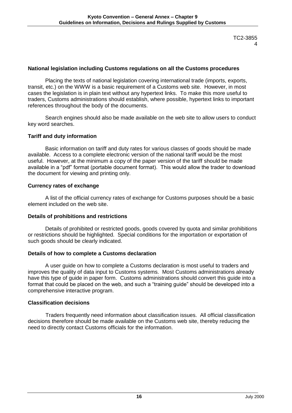#### **National legislation including Customs regulations on all the Customs procedures**

Placing the texts of national legislation covering international trade (imports, exports, transit, etc.) on the WWW is a basic requirement of a Customs web site. However, in most cases the legislation is in plain text without any hypertext links. To make this more useful to traders, Customs administrations should establish, where possible, hypertext links to important references throughout the body of the documents.

Search engines should also be made available on the web site to allow users to conduct key word searches.

#### **Tariff and duty information**

Basic information on tariff and duty rates for various classes of goods should be made available. Access to a complete electronic version of the national tariff would be the most useful. However, at the minimum a copy of the paper version of the tariff should be made available in a "pdf" format (portable document format). This would allow the trader to download the document for viewing and printing only.

#### **Currency rates of exchange**

A list of the official currency rates of exchange for Customs purposes should be a basic element included on the web site.

#### **Details of prohibitions and restrictions**

Details of prohibited or restricted goods, goods covered by quota and similar prohibitions or restrictions should be highlighted. Special conditions for the importation or exportation of such goods should be clearly indicated.

#### **Details of how to complete a Customs declaration**

A user guide on how to complete a Customs declaration is most useful to traders and improves the quality of data input to Customs systems. Most Customs administrations already have this type of guide in paper form. Customs administrations should convert this quide into a format that could be placed on the web, and such a "training guide" should be developed into a comprehensive interactive program.

# **Classification decisions**

Traders frequently need information about classification issues. All official classification decisions therefore should be made available on the Customs web site, thereby reducing the need to directly contact Customs officials for the information.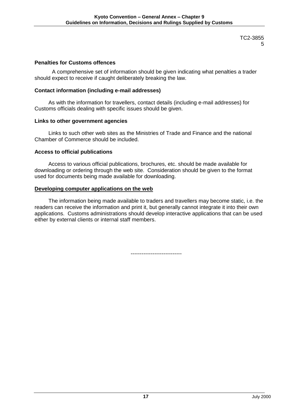# **Penalties for Customs offences**

A comprehensive set of information should be given indicating what penalties a trader should expect to receive if caught deliberately breaking the law.

#### **Contact information (including e-mail addresses)**

As with the information for travellers, contact details (including e-mail addresses) for Customs officials dealing with specific issues should be given.

#### **Links to other government agencies**

Links to such other web sites as the Ministries of Trade and Finance and the national Chamber of Commerce should be included.

#### **Access to official publications**

Access to various official publications, brochures, etc. should be made available for downloading or ordering through the web site. Consideration should be given to the format used for documents being made available for downloading.

#### **Developing computer applications on the web**

The information being made available to traders and travellers may become static, i.e. the readers can receive the information and print it, but generally cannot integrate it into their own applications. Customs administrations should develop interactive applications that can be used either by external clients or internal staff members.

----------------------------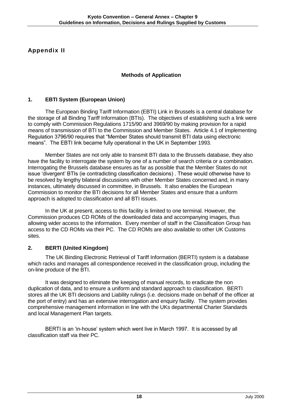**Appendix II**

# **Methods of Application**

# **1. EBTI System (European Union)**

The European Binding Tariff Information (EBTI) Link in Brussels is a central database for the storage of all Binding Tariff Information (BTIs). The objectives of establishing such a link were to comply with Commission Regulations 1715/90 and 3969/90 by making provision for a rapid means of transmission of BTI to the Commission and Member States. Article 4.1 of Implementing Regulation 3796/90 requires that "Member States should transmit BTI data using electronic means". The EBTI link became fully operational in the UK in September 1993.

Member States are not only able to transmit BTI data to the Brussels database, they also have the facility to interrogate the system by one of a number of search criteria or a combination. Interrogating the Brussels database ensures as far as possible that the Member States do not issue 'divergent' BTIs (ie contradicting classification decisions) . These would otherwise have to be resolved by lengthy bilateral discussions with other Member States concerned and, in many instances, ultimately discussed in committee, in Brussels. It also enables the European Commission to monitor the BTI decisions for all Member States and ensure that a uniform approach is adopted to classification and all BTI issues.

In the UK at present, access to this facility is limited to one terminal. However, the Commission produces CD ROMs of the downloaded data and accompanying images, thus allowing wider access to the information. Every member of staff in the Classification Group has access to the CD ROMs via their PC. The CD ROMs are also available to other UK Customs sites.

# **2. BERTI (United Kingdom)**

The UK Binding Electronic Retrieval of Tariff Information (BERTI) system is a database which racks and manages all correspondence received in the classification group, including the on-line produce of the BTI.

It was designed to eliminate the keeping of manual records, to eradicate the non duplication of data, and to ensure a uniform and standard approach to classification. BERTI stores all the UK BTI decisions and Liability rulings (i.e. decisions made on behalf of the officer at the port of entry) and has an extensive interrogation and enquiry facility. The system provides comprehensive management information in line with the UKs departmental Charter Standards and local Management Plan targets.

BERTI is an 'in-house' system which went live in March 1997. It is accessed by all classification staff via their PC.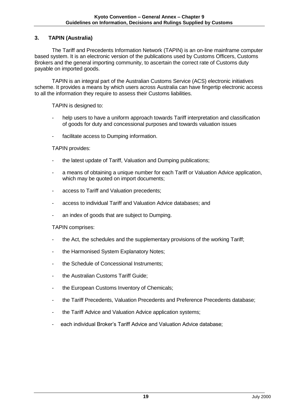# **3. TAPIN (Australia)**

The Tariff and Precedents Information Network (TAPIN) is an on-line mainframe computer based system. It is an electronic version of the publications used by Customs Officers, Customs Brokers and the general importing community, to ascertain the correct rate of Customs duty payable on imported goods.

TAPIN is an integral part of the Australian Customs Service (ACS) electronic initiatives scheme. It provides a means by which users across Australia can have fingertip electronic access to all the information they require to assess their Customs liabilities.

TAPIN is designed to:

- help users to have a uniform approach towards Tariff interpretation and classification of goods for duty and concessional purposes and towards valuation issues
- facilitate access to Dumping information.

#### TAPIN provides:

- the latest update of Tariff, Valuation and Dumping publications;
- a means of obtaining a unique number for each Tariff or Valuation Advice application, which may be quoted on import documents;
- access to Tariff and Valuation precedents;
- access to individual Tariff and Valuation Advice databases; and
- an index of goods that are subject to Dumping.

#### TAPIN comprises:

- the Act, the schedules and the supplementary provisions of the working Tariff;
- the Harmonised System Explanatory Notes;
- the Schedule of Concessional Instruments;
- the Australian Customs Tariff Guide;
- the European Customs Inventory of Chemicals;
- the Tariff Precedents, Valuation Precedents and Preference Precedents database;
- the Tariff Advice and Valuation Advice application systems;
- each individual Broker's Tariff Advice and Valuation Advice database;